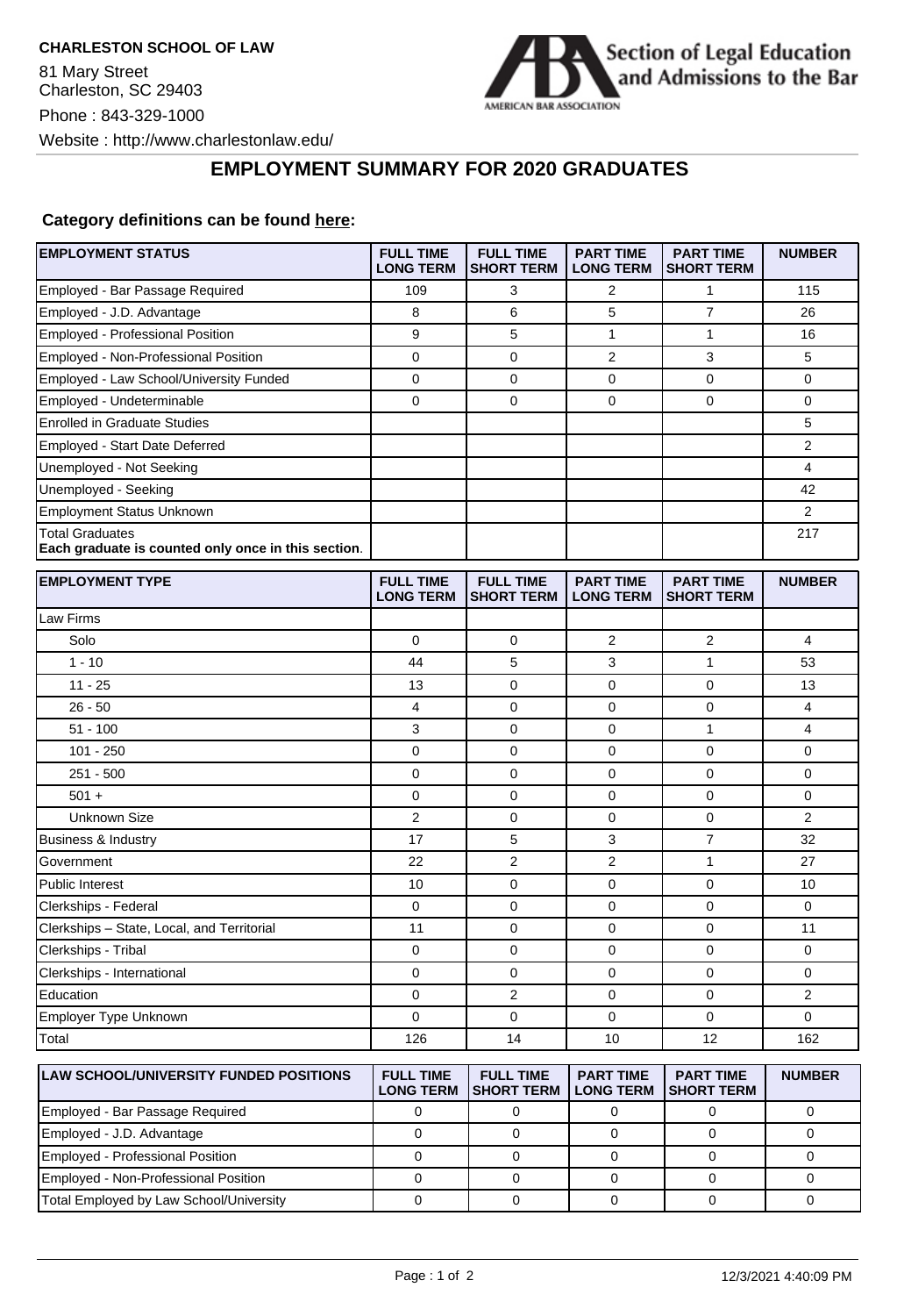

## **EMPLOYMENT SUMMARY FOR 2020 GRADUATES**

## **Category definitions can be found [here:](https://www.americanbar.org/content/dam/aba/administrative/legal_education_and_admissions_to_the_bar/Questionnaires/employment-protocol-class-of-2020.pdf)**

| <b>EMPLOYMENT STATUS</b>                                                      | <b>FULL TIME</b><br><b>LONG TERM</b> | <b>FULL TIME</b><br><b>SHORT TERM</b> | <b>PART TIME</b><br><b>LONG TERM</b> | <b>PART TIME</b><br><b>SHORT TERM</b> | <b>NUMBER</b>  |
|-------------------------------------------------------------------------------|--------------------------------------|---------------------------------------|--------------------------------------|---------------------------------------|----------------|
| Employed - Bar Passage Required                                               | 109                                  | 3                                     | $\overline{2}$                       | $\mathbf{1}$                          | 115            |
| Employed - J.D. Advantage                                                     | 8                                    | 6                                     | 5                                    | 7                                     | 26             |
| <b>Employed - Professional Position</b>                                       | 9                                    | 5                                     | $\mathbf{1}$                         | $\mathbf{1}$                          | 16             |
| Employed - Non-Professional Position                                          | $\mathbf 0$                          | $\mathbf 0$                           | 2                                    | 3                                     | 5              |
| Employed - Law School/University Funded                                       | $\mathbf 0$                          | $\mathbf 0$                           | 0                                    | $\mathbf 0$                           | $\mathbf 0$    |
| Employed - Undeterminable                                                     | $\mathbf 0$                          | 0                                     | 0                                    | $\mathbf 0$                           | $\mathbf 0$    |
| <b>Enrolled in Graduate Studies</b>                                           |                                      |                                       |                                      |                                       | 5              |
| <b>Employed - Start Date Deferred</b>                                         |                                      |                                       |                                      |                                       | $\overline{2}$ |
| Unemployed - Not Seeking                                                      |                                      |                                       |                                      |                                       | 4              |
| Unemployed - Seeking                                                          |                                      |                                       |                                      |                                       | 42             |
| <b>Employment Status Unknown</b>                                              |                                      |                                       |                                      |                                       | 2              |
| <b>Total Graduates</b><br>Each graduate is counted only once in this section. |                                      |                                       |                                      |                                       | 217            |
| <b>EMPLOYMENT TYPE</b>                                                        | <b>FULL TIME</b><br><b>LONG TERM</b> | <b>FULL TIME</b><br><b>SHORT TERM</b> | <b>PART TIME</b><br><b>LONG TERM</b> | <b>PART TIME</b><br><b>SHORT TERM</b> | <b>NUMBER</b>  |
| Law Firms                                                                     |                                      |                                       |                                      |                                       |                |
| Solo                                                                          | $\mathbf 0$                          | $\mathbf 0$                           | 2                                    | 2                                     | $\overline{4}$ |
| $1 - 10$                                                                      | 44                                   | 5                                     | 3                                    | $\mathbf{1}$                          | 53             |
| $11 - 25$                                                                     | 13                                   | $\mathbf 0$                           | 0                                    | 0                                     | 13             |
| $26 - 50$                                                                     | 4                                    | 0                                     | 0                                    | $\mathbf 0$                           | 4              |
| $51 - 100$                                                                    | 3                                    | $\mathbf 0$                           | 0                                    | $\mathbf{1}$                          | 4              |
| $101 - 250$                                                                   | 0                                    | 0                                     | 0                                    | 0                                     | $\mathbf 0$    |
| $251 - 500$                                                                   | $\mathbf 0$                          | 0                                     | $\Omega$                             | $\mathbf 0$                           | $\Omega$       |
| $501 +$                                                                       | $\mathbf 0$                          | $\mathbf 0$                           | 0                                    | $\mathbf 0$                           | $\mathbf 0$    |
| Unknown Size                                                                  | $\overline{2}$                       | 0                                     | 0                                    | 0                                     | 2              |
| <b>Business &amp; Industry</b>                                                | 17                                   | 5                                     | 3                                    | $\overline{7}$                        | 32             |
| Government                                                                    | 22                                   | $\overline{2}$                        | $\overline{2}$                       | $\mathbf{1}$                          | 27             |
| <b>Public Interest</b>                                                        | 10                                   | $\mathbf 0$                           | 0                                    | $\mathbf 0$                           | 10             |
| Clerkships - Federal                                                          | $\mathbf 0$                          | 0                                     | 0                                    | $\mathbf 0$                           | $\Omega$       |
| Clerkships - State, Local, and Territorial                                    | 11                                   | 0                                     | 0                                    | $\mathbf 0$                           | 11             |
| Clerkships - Tribal                                                           | 0                                    | 0                                     | 0                                    | 0                                     | 0              |
| Clerkships - International                                                    | 0                                    | 0                                     | 0                                    | 0                                     | 0              |
| Education                                                                     | $\mathbf 0$                          | $\overline{2}$                        | 0                                    | $\mathbf 0$                           | 2              |
| Employer Type Unknown                                                         | 0                                    | 0                                     | 0                                    | 0                                     | $\mathbf 0$    |
| Total                                                                         | 126                                  | 14                                    | 10                                   | 12                                    | 162            |
| <b>LAW SCHOOL/UNIVERSITY FUNDED POSITIONS</b>                                 | <b>FULL TIME</b><br><b>LONG TERM</b> | <b>FULL TIME</b><br><b>SHORT TERM</b> | <b>PART TIME</b><br><b>LONG TERM</b> | <b>PART TIME</b><br><b>SHORT TERM</b> | <b>NUMBER</b>  |

| ILAW SUHUULJUNIVERSITY FUNDED PUSITIONS. | FULL IIME | FULL IIME<br>LONG TERM ISHORT TERM I LONG TERM ISHORT TERM | <b>PARI IIME</b> | <b>PARTINE</b> | NUMBER |
|------------------------------------------|-----------|------------------------------------------------------------|------------------|----------------|--------|
| Employed - Bar Passage Required          |           |                                                            |                  |                |        |
| Employed - J.D. Advantage                |           |                                                            |                  |                |        |
| Employed - Professional Position         |           |                                                            |                  |                |        |
| Employed - Non-Professional Position     |           |                                                            |                  |                |        |
| Total Employed by Law School/University  |           |                                                            |                  |                |        |